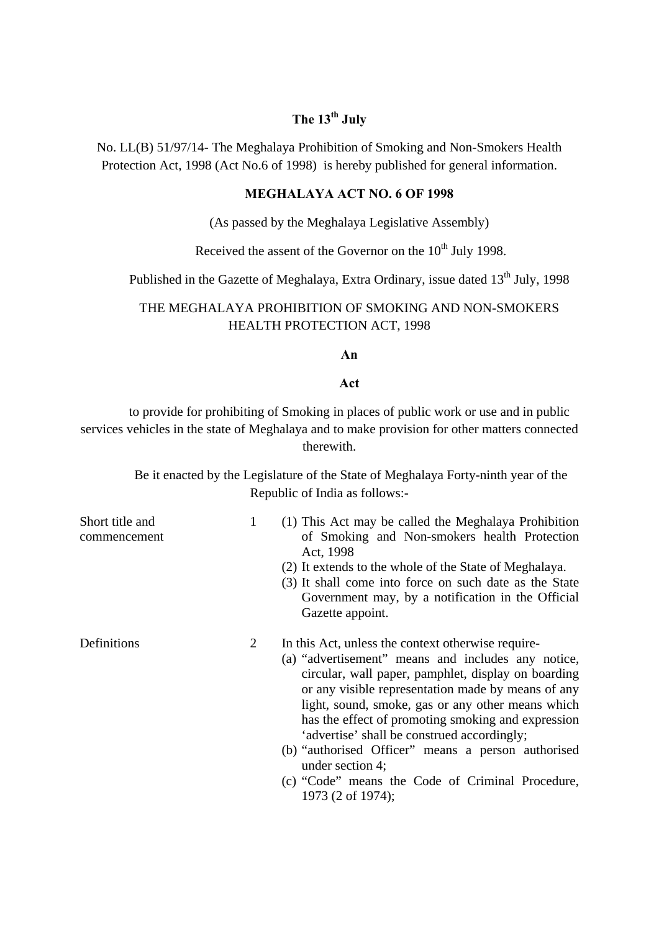# **The 13th July**

No. LL(B) 51/97/14- The Meghalaya Prohibition of Smoking and Non-Smokers Health Protection Act, 1998 (Act No.6 of 1998) is hereby published for general information.

### **MEGHALAYA ACT NO. 6 OF 1998**

(As passed by the Meghalaya Legislative Assembly)

Received the assent of the Governor on the  $10^{th}$  July 1998.

Published in the Gazette of Meghalaya, Extra Ordinary, issue dated 13<sup>th</sup> July, 1998

## THE MEGHALAYA PROHIBITION OF SMOKING AND NON-SMOKERS HEALTH PROTECTION ACT, 1998

#### **An**

#### **Act**

to provide for prohibiting of Smoking in places of public work or use and in public services vehicles in the state of Meghalaya and to make provision for other matters connected therewith.

> Be it enacted by the Legislature of the State of Meghalaya Forty-ninth year of the Republic of India as follows:-

| Short title and<br>commencement | 1 | (1) This Act may be called the Meghalaya Prohibition<br>of Smoking and Non-smokers health Protection<br>Act, 1998<br>(2) It extends to the whole of the State of Meghalaya.<br>(3) It shall come into force on such date as the State<br>Government may, by a notification in the Official<br>Gazette appoint.                                                                                                                                                                                                                     |
|---------------------------------|---|------------------------------------------------------------------------------------------------------------------------------------------------------------------------------------------------------------------------------------------------------------------------------------------------------------------------------------------------------------------------------------------------------------------------------------------------------------------------------------------------------------------------------------|
| Definitions                     | 2 | In this Act, unless the context otherwise require-<br>(a) "advertisement" means and includes any notice,<br>circular, wall paper, pamphlet, display on boarding<br>or any visible representation made by means of any<br>light, sound, smoke, gas or any other means which<br>has the effect of promoting smoking and expression<br>'advertise' shall be construed accordingly;<br>(b) "authorised Officer" means a person authorised<br>under section 4;<br>(c) "Code" means the Code of Criminal Procedure,<br>1973 (2 of 1974); |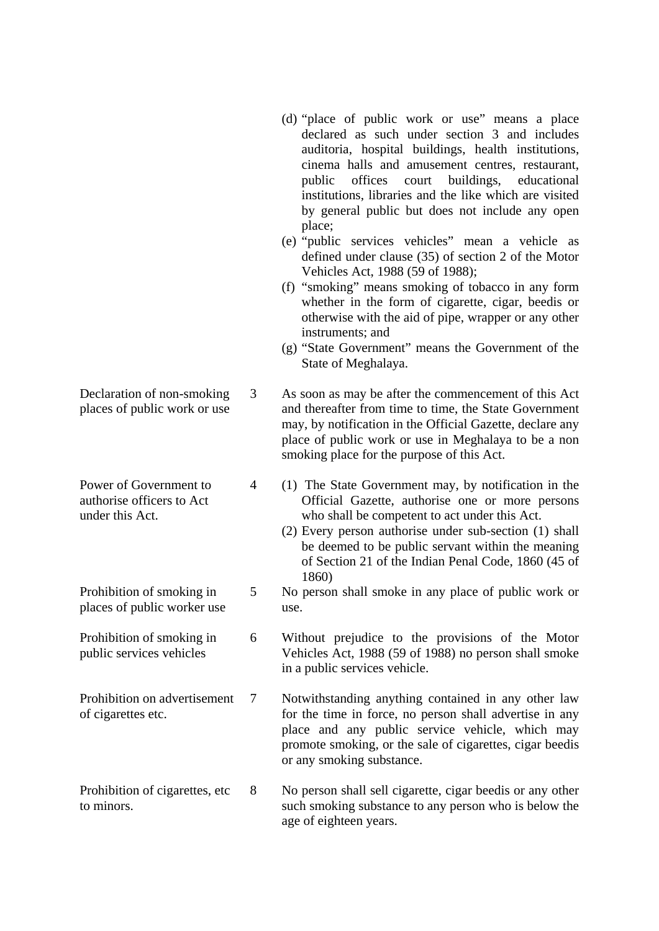- (d) "place of public work or use" means a place declared as such under section 3 and includes auditoria, hospital buildings, health institutions, cinema halls and amusement centres, restaurant, public offices court buildings, educational institutions, libraries and the like which are visited by general public but does not include any open place;
- (e) "public services vehicles" mean a vehicle as defined under clause (35) of section 2 of the Motor Vehicles Act, 1988 (59 of 1988);
- (f) "smoking" means smoking of tobacco in any form whether in the form of cigarette, cigar, beedis or otherwise with the aid of pipe, wrapper or any other instruments; and
- (g) "State Government" means the Government of the State of Meghalaya.

3 As soon as may be after the commencement of this Act and thereafter from time to time, the State Government may, by notification in the Official Gazette, declare any place of public work or use in Meghalaya to be a non smoking place for the purpose of this Act.

- (1) The State Government may, by notification in the Official Gazette, authorise one or more persons who shall be competent to act under this Act.
	- (2) Every person authorise under sub-section (1) shall be deemed to be public servant within the meaning of Section 21 of the Indian Penal Code, 1860 (45 of 1860)
- No person shall smoke in any place of public work or use.
- 6 Without prejudice to the provisions of the Motor Vehicles Act, 1988 (59 of 1988) no person shall smoke in a public services vehicle.
- 7 Notwithstanding anything contained in any other law for the time in force, no person shall advertise in any place and any public service vehicle, which may promote smoking, or the sale of cigarettes, cigar beedis or any smoking substance.
- to minors. No person shall sell cigarette, cigar beedis or any other such smoking substance to any person who is below the age of eighteen years.
- Declaration of non-smoking places of public work or use
- Power of Government to authorise officers to Act under this Act.

4

5

Prohibition of smoking in places of public worker use

Prohibition of smoking in public services vehicles

Prohibition on advertisement of cigarettes etc.

Prohibition of cigarettes, etc 8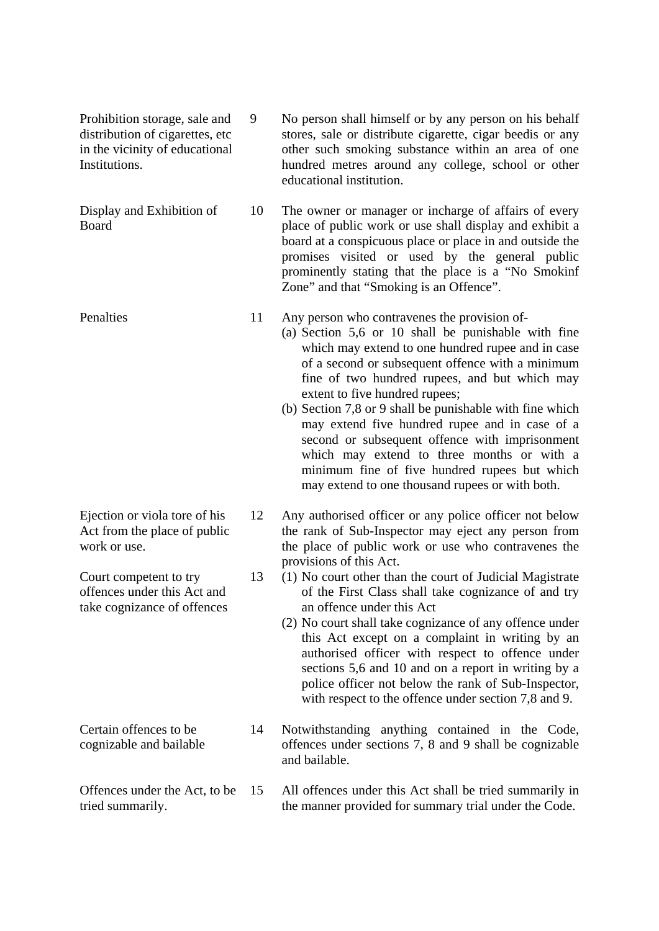Prohibition storage, sale and distribution of cigarettes, etc in the vicinity of educational Institutions.

9

13

Display and Exhibition of Board

**Penalties** 

Ejection or viola tore of his Act from the place of public work or use.

Court competent to try offences under this Act and take cognizance of offences

Certain offences to be cognizable and bailable

Offences under the Act, to be tried summarily. 15

No person shall himself or by any person on his behalf stores, sale or distribute cigarette, cigar beedis or any other such smoking substance within an area of one hundred metres around any college, school or other educational institution.

10 The owner or manager or incharge of affairs of every place of public work or use shall display and exhibit a board at a conspicuous place or place in and outside the promises visited or used by the general public prominently stating that the place is a "No Smokinf Zone" and that "Smoking is an Offence".

11 Any person who contravenes the provision of-

> (a) Section 5,6 or 10 shall be punishable with fine which may extend to one hundred rupee and in case of a second or subsequent offence with a minimum fine of two hundred rupees, and but which may extent to five hundred rupees;

> (b) Section 7,8 or 9 shall be punishable with fine which may extend five hundred rupee and in case of a second or subsequent offence with imprisonment which may extend to three months or with a minimum fine of five hundred rupees but which may extend to one thousand rupees or with both.

12 Any authorised officer or any police officer not below the rank of Sub-Inspector may eject any person from the place of public work or use who contravenes the provisions of this Act.

(1) No court other than the court of Judicial Magistrate of the First Class shall take cognizance of and try an offence under this Act

(2) No court shall take cognizance of any offence under this Act except on a complaint in writing by an authorised officer with respect to offence under sections 5,6 and 10 and on a report in writing by a police officer not below the rank of Sub-Inspector, with respect to the offence under section 7,8 and 9.

14 Notwithstanding anything contained in the Code, offences under sections 7, 8 and 9 shall be cognizable and bailable.

All offences under this Act shall be tried summarily in the manner provided for summary trial under the Code.